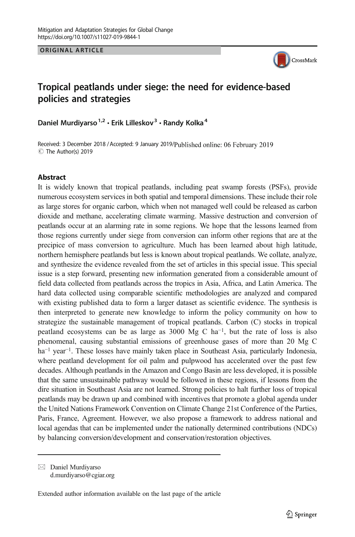ORIGINAL ARTICLE



# Tropical peatlands under siege: the need for evidence-based policies and strategies

Daniel Murdivarso<sup>1,2</sup> · Erik Lilleskov<sup>3</sup> · Randy Kolka<sup>4</sup>

Received: 3 December 2018 / Accepted: 9 January 2019/Published online: 06 February 2019  $\circledcirc$  The Author(s) 2019

### **Abstract**

It is widely known that tropical peatlands, including peat swamp forests (PSFs), provide numerous ecosystem services in both spatial and temporal dimensions. These include their role as large stores for organic carbon, which when not managed well could be released as carbon dioxide and methane, accelerating climate warming. Massive destruction and conversion of peatlands occur at an alarming rate in some regions. We hope that the lessons learned from those regions currently under siege from conversion can inform other regions that are at the precipice of mass conversion to agriculture. Much has been learned about high latitude, northern hemisphere peatlands but less is known about tropical peatlands. We collate, analyze, and synthesize the evidence revealed from the set of articles in this special issue. This special issue is a step forward, presenting new information generated from a considerable amount of field data collected from peatlands across the tropics in Asia, Africa, and Latin America. The hard data collected using comparable scientific methodologies are analyzed and compared with existing published data to form a larger dataset as scientific evidence. The synthesis is then interpreted to generate new knowledge to inform the policy community on how to strategize the sustainable management of tropical peatlands. Carbon (C) stocks in tropical peatland ecosystems can be as large as  $3000 \text{ Mg C ha}^{-1}$ , but the rate of loss is also phenomenal, causing substantial emissions of greenhouse gases of more than 20 Mg C ha<sup>-1</sup> year<sup>-1</sup>. These losses have mainly taken place in Southeast Asia, particularly Indonesia, where peatland development for oil palm and pulpwood has accelerated over the past few decades. Although peatlands in the Amazon and Congo Basin are less developed, it is possible that the same unsustainable pathway would be followed in these regions, if lessons from the dire situation in Southeast Asia are not learned. Strong policies to halt further loss of tropical peatlands may be drawn up and combined with incentives that promote a global agenda under the United Nations Framework Convention on Climate Change 21st Conference of the Parties, Paris, France, Agreement. However, we also propose a framework to address national and local agendas that can be implemented under the nationally determined contributions (NDCs) by balancing conversion/development and conservation/restoration objectives.

 $\boxtimes$  Daniel Murdivarso [d.murdiyarso@cgiar.org](mailto:d.murdiyarso@cgiar.org)

Extended author information available on the last page of the article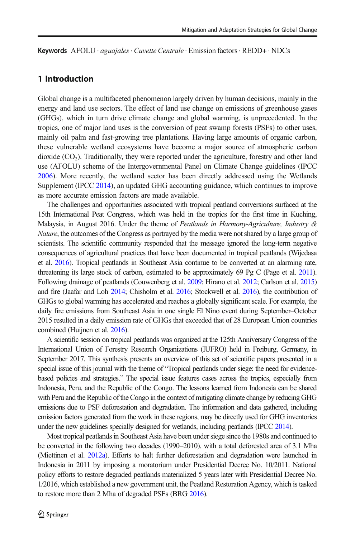**Keywords** AFOLU  $\cdot$  *aguajales*  $\cdot$  *Cuvette Centrale*  $\cdot$  Emission factors  $\cdot$  REDD+ $\cdot$  NDCs

## 1 Introduction

Global change is a multifaceted phenomenon largely driven by human decisions, mainly in the energy and land use sectors. The effect of land use change on emissions of greenhouse gases (GHGs), which in turn drive climate change and global warming, is unprecedented. In the tropics, one of major land uses is the conversion of peat swamp forests (PSFs) to other uses, mainly oil palm and fast-growing tree plantations. Having large amounts of organic carbon, these vulnerable wetland ecosystems have become a major source of atmospheric carbon dioxide  $(CO<sub>2</sub>)$ . Traditionally, they were reported under the agriculture, forestry and other land use (AFOLU) scheme of the Intergovernmental Panel on Climate Change guidelines (IPCC [2006](#page-12-0)). More recently, the wetland sector has been directly addressed using the Wetlands Supplement (IPCC [2014](#page-12-0)), an updated GHG accounting guidance, which continues to improve as more accurate emission factors are made available.

The challenges and opportunities associated with tropical peatland conversions surfaced at the 15th International Peat Congress, which was held in the tropics for the first time in Kuching, Malaysia, in August 2016. Under the theme of Peatlands in Harmony-Agriculture, Industry & Nature, the outcomes of the Congress as portrayed by the media were not shared by a large group of scientists. The scientific community responded that the message ignored the long-term negative consequences of agricultural practices that have been documented in tropical peatlands (Wijedasa et al. [2016\)](#page-12-0). Tropical peatlands in Southeast Asia continue to be converted at an alarming rate, threatening its large stock of carbon, estimated to be approximately 69 Pg C (Page et al. [2011](#page-12-0)). Following drainage of peatlands (Couwenberg et al. [2009;](#page-11-0) Hirano et al. [2012](#page-11-0); Carlson et al. [2015\)](#page-11-0) and fire (Jaafar and Loh [2014;](#page-12-0) Chisholm et al. [2016](#page-11-0); Stockwell et al. [2016\)](#page-12-0), the contribution of GHGs to global warming has accelerated and reaches a globally significant scale. For example, the daily fire emissions from Southeast Asia in one single El Nino event during September–October 2015 resulted in a daily emission rate of GHGs that exceeded that of 28 European Union countries combined (Huijnen et al. [2016\)](#page-11-0).

A scientific session on tropical peatlands was organized at the 125th Anniversary Congress of the International Union of Forestry Research Organizations (IUFRO) held in Freiburg, Germany, in September 2017. This synthesis presents an overview of this set of scientific papers presented in a special issue of this journal with the theme of "Tropical peatlands under siege: the need for evidencebased policies and strategies." The special issue features cases across the tropics, especially from Indonesia, Peru, and the Republic of the Congo. The lessons learned from Indonesia can be shared with Peru and the Republic of the Congo in the context of mitigating climate change by reducing GHG emissions due to PSF deforestation and degradation. The information and data gathered, including emission factors generated from the work in these regions, may be directly used for GHG inventories under the new guidelines specially designed for wetlands, including peatlands (IPCC [2014](#page-12-0)).

Most tropical peatlands in Southeast Asia have been under siege since the 1980s and continued to be converted in the following two decades (1990–2010), with a total deforested area of 3.1 Mha (Miettinen et al. [2012a](#page-12-0)). Efforts to halt further deforestation and degradation were launched in Indonesia in 2011 by imposing a moratorium under Presidential Decree No. 10/2011. National policy efforts to restore degraded peatlands materialized 5 years later with Presidential Decree No. 1/2016, which established a new government unit, the Peatland Restoration Agency, which is tasked to restore more than 2 Mha of degraded PSFs (BRG [2016](#page-11-0)).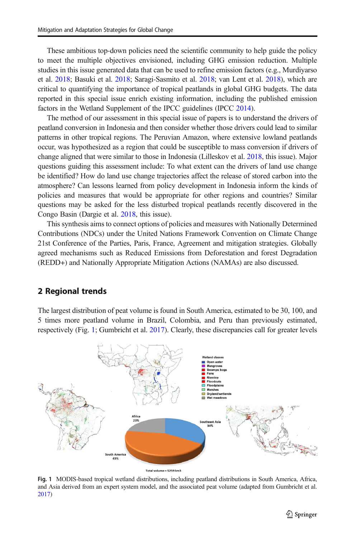These ambitious top-down policies need the scientific community to help guide the policy to meet the multiple objectives envisioned, including GHG emission reduction. Multiple studies in this issue generated data that can be used to refine emission factors (e.g., Murdiyarso et al. [2018;](#page-12-0) Basuki et al. [2018](#page-11-0); Saragi-Sasmito et al. [2018;](#page-12-0) van Lent et al. [2018\)](#page-12-0), which are critical to quantifying the importance of tropical peatlands in global GHG budgets. The data reported in this special issue enrich existing information, including the published emission factors in the Wetland Supplement of the IPCC guidelines (IPCC [2014\)](#page-12-0).

The method of our assessment in this special issue of papers is to understand the drivers of peatland conversion in Indonesia and then consider whether those drivers could lead to similar patterns in other tropical regions. The Peruvian Amazon, where extensive lowland peatlands occur, was hypothesized as a region that could be susceptible to mass conversion if drivers of change aligned that were similar to those in Indonesia (Lilleskov et al. [2018](#page-12-0), this issue). Major questions guiding this assessment include: To what extent can the drivers of land use change be identified? How do land use change trajectories affect the release of stored carbon into the atmosphere? Can lessons learned from policy development in Indonesia inform the kinds of policies and measures that would be appropriate for other regions and countries? Similar questions may be asked for the less disturbed tropical peatlands recently discovered in the Congo Basin (Dargie et al. [2018](#page-11-0), this issue).

This synthesis aims to connect options of policies and measures with Nationally Determined Contributions (NDCs) under the United Nations Framework Convention on Climate Change 21st Conference of the Parties, Paris, France, Agreement and mitigation strategies. Globally agreed mechanisms such as Reduced Emissions from Deforestation and forest Degradation (REDD+) and Nationally Appropriate Mitigation Actions (NAMAs) are also discussed.

## 2 Regional trends

The largest distribution of peat volume is found in South America, estimated to be 30, 100, and 5 times more peatland volume in Brazil, Colombia, and Peru than previously estimated, respectively (Fig. 1; Gumbricht et al. [2017\)](#page-11-0). Clearly, these discrepancies call for greater levels



Fig. 1 MODIS-based tropical wetland distributions, including peatland distributions in South America, Africa, and Asia derived from an expert system model, and the associated peat volume (adapted from Gumbricht et al. [2017](#page-11-0))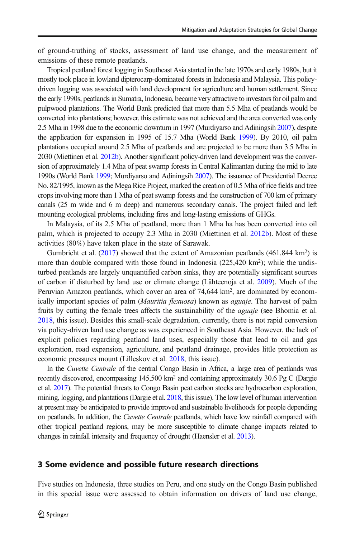of ground-truthing of stocks, assessment of land use change, and the measurement of emissions of these remote peatlands.

Tropical peatland forest logging in Southeast Asia started in the late 1970s and early 1980s, but it mostly took place in lowland dipterocarp-dominated forests in Indonesia and Malaysia. This policydriven logging was associated with land development for agriculture and human settlement. Since the early 1990s, peatlands in Sumatra, Indonesia, became very attractive to investors for oil palm and pulpwood plantations. The World Bank predicted that more than 5.5 Mha of peatlands would be converted into plantations; however, this estimate was not achieved and the area converted was only 2.5 Mha in 1998 due to the economic downturn in 1997 (Murdiyarso and Adiningsih [2007](#page-12-0)), despite the application for expansion in 1995 of 15.7 Mha (World Bank [1999\)](#page-12-0). By 2010, oil palm plantations occupied around 2.5 Mha of peatlands and are projected to be more than 3.5 Mha in 2030 (Miettinen et al. [2012b\)](#page-12-0). Another significant policy-driven land development was the conversion of approximately 1.4 Mha of peat swamp forests in Central Kalimantan during the mid to late 1990s (World Bank [1999;](#page-12-0) Murdiyarso and Adiningsih [2007](#page-12-0)). The issuance of Presidential Decree No. 82/1995, known as the Mega Rice Project, marked the creation of 0.5 Mha of rice fields and tree crops involving more than 1 Mha of peat swamp forests and the construction of 700 km of primary canals (25 m wide and 6 m deep) and numerous secondary canals. The project failed and left mounting ecological problems, including fires and long-lasting emissions of GHGs.

In Malaysia, of its 2.5 Mha of peatland, more than 1 Mha ha has been converted into oil palm, which is projected to occupy 2.3 Mha in 2030 (Miettinen et al. [2012b](#page-12-0)). Most of these activities (80%) have taken place in the state of Sarawak.

Gumbricht et al.  $(2017)$  $(2017)$  $(2017)$  showed that the extent of Amazonian peatlands  $(461,844 \text{ km}^2)$  is more than double compared with those found in Indonesia  $(225,420 \text{ km}^2)$ ; while the undisturbed peatlands are largely unquantified carbon sinks, they are potentially significant sources of carbon if disturbed by land use or climate change (Lähteenoja et al. [2009\)](#page-12-0). Much of the Peruvian Amazon peatlands, which cover an area of 74,644 km<sup>2</sup>, are dominated by economically important species of palm (Mauritia flexuosa) known as aguaje. The harvest of palm fruits by cutting the female trees affects the sustainability of the *aguaje* (see Bhomia et al. [2018](#page-11-0), this issue). Besides this small-scale degradation, currently, there is not rapid conversion via policy-driven land use change as was experienced in Southeast Asia. However, the lack of explicit policies regarding peatland land uses, especially those that lead to oil and gas exploration, road expansion, agriculture, and peatland drainage, provides little protection as economic pressures mount (Lilleskov et al. [2018](#page-12-0), this issue).

In the *Cuvette Centrale* of the central Congo Basin in Africa, a large area of peatlands was recently discovered, encompassing 145,500 km2 and containing approximately 30.6 Pg C (Dargie et al. [2017\)](#page-11-0). The potential threats to Congo Basin peat carbon stocks are hydrocarbon exploration, mining, logging, and plantations (Dargie et al. [2018](#page-11-0), this issue). The low level of human intervention at present may be anticipated to provide improved and sustainable livelihoods for people depending on peatlands. In addition, the Cuvette Centrale peatlands, which have low rainfall compared with other tropical peatland regions, may be more susceptible to climate change impacts related to changes in rainfall intensity and frequency of drought (Haensler et al. [2013](#page-11-0)).

### 3 Some evidence and possible future research directions

Five studies on Indonesia, three studies on Peru, and one study on the Congo Basin published in this special issue were assessed to obtain information on drivers of land use change,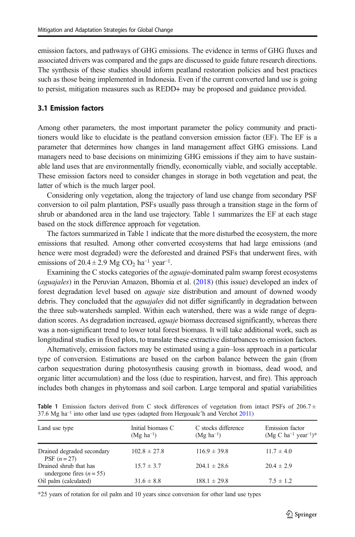emission factors, and pathways of GHG emissions. The evidence in terms of GHG fluxes and associated drivers was compared and the gaps are discussed to guide future research directions. The synthesis of these studies should inform peatland restoration policies and best practices such as those being implemented in Indonesia. Even if the current converted land use is going to persist, mitigation measures such as REDD+ may be proposed and guidance provided.

## 3.1 Emission factors

Among other parameters, the most important parameter the policy community and practitioners would like to elucidate is the peatland conversion emission factor (EF). The EF is a parameter that determines how changes in land management affect GHG emissions. Land managers need to base decisions on minimizing GHG emissions if they aim to have sustainable land uses that are environmentally friendly, economically viable, and socially acceptable. These emission factors need to consider changes in storage in both vegetation and peat, the latter of which is the much larger pool.

Considering only vegetation, along the trajectory of land use change from secondary PSF conversion to oil palm plantation, PSFs usually pass through a transition stage in the form of shrub or abandoned area in the land use trajectory. Table 1 summarizes the EF at each stage based on the stock difference approach for vegetation.

The factors summarized in Table 1 indicate that the more disturbed the ecosystem, the more emissions that resulted. Among other converted ecosystems that had large emissions (and hence were most degraded) were the deforested and drained PSFs that underwent fires, with emissions of  $20.4 \pm 2.9$  Mg CO<sub>2</sub> ha<sup>-1</sup> year<sup>-1</sup>.

Examining the C stocks categories of the *aguaje*-dominated palm swamp forest ecosystems (aguajales) in the Peruvian Amazon, Bhomia et al. [\(2018](#page-11-0)) (this issue) developed an index of forest degradation level based on aguaje size distribution and amount of downed woody debris. They concluded that the *aguajales* did not differ significantly in degradation between the three sub-watersheds sampled. Within each watershed, there was a wide range of degradation scores. As degradation increased, aguaje biomass decreased significantly, whereas there was a non-significant trend to lower total forest biomass. It will take additional work, such as longitudinal studies in fixed plots, to translate these extractive disturbances to emission factors.

Alternatively, emission factors may be estimated using a gain–loss approach in a particular type of conversion. Estimations are based on the carbon balance between the gain (from carbon sequestration during photosynthesis causing growth in biomass, dead wood, and organic litter accumulation) and the loss (due to respiration, harvest, and fire). This approach includes both changes in phytomass and soil carbon. Large temporal and spatial variabilities

| Land use type                                        | Initial biomass C<br>$(Mg \text{ ha}^{-1})$ | C stocks difference<br>$(Mg ha^{-1})$ | Emission factor<br>$(Mg C ha^{-1} year^{-1})^*$ |
|------------------------------------------------------|---------------------------------------------|---------------------------------------|-------------------------------------------------|
| Drained degraded secondary<br>PSF $(n = 27)$         | $102.8 \pm 27.8$                            | $116.9 \pm 39.8$                      | $11.7 \pm 4.0$                                  |
| Drained shrub that has<br>undergone fires $(n = 55)$ | $15.7 \pm 3.7$                              | $204.1 \pm 28.6$                      | $20.4 \pm 2.9$                                  |
| Oil palm (calculated)                                | $31.6 \pm 8.8$                              | $188.1 \pm 29.8$                      | $7.5 \pm 1.2$                                   |

**Table 1** Emission factors derived from C stock differences of vegetation from intact PSFs of  $206.7 \pm$ 37.6 Mg ha<sup>−</sup><sup>1</sup> into other land use types (adapted from Hergoualc'h and Verchot [2011\)](#page-11-0)

\*25 years of rotation for oil palm and 10 years since conversion for other land use types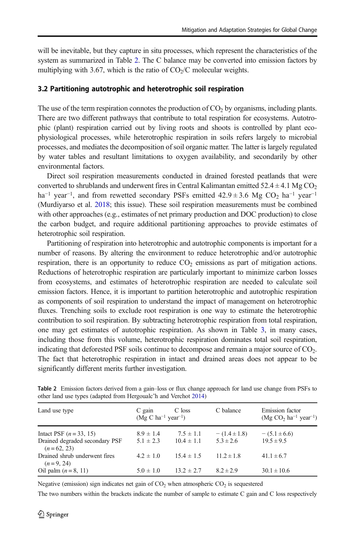will be inevitable, but they capture in situ processes, which represent the characteristics of the system as summarized in Table 2. The C balance may be converted into emission factors by multiplying with 3.67, which is the ratio of  $CO_2/C$  molecular weights.

### 3.2 Partitioning autotrophic and heterotrophic soil respiration

The use of the term respiration connotes the production of  $CO<sub>2</sub>$  by organisms, including plants. There are two different pathways that contribute to total respiration for ecosystems. Autotrophic (plant) respiration carried out by living roots and shoots is controlled by plant ecophysiological processes, while heterotrophic respiration in soils refers largely to microbial processes, and mediates the decomposition of soil organic matter. The latter is largely regulated by water tables and resultant limitations to oxygen availability, and secondarily by other environmental factors.

Direct soil respiration measurements conducted in drained forested peatlands that were converted to shrublands and underwent fires in Central Kalimantan emitted  $52.4 \pm 4.1$  Mg CO<sub>2</sub> ha<sup>-1</sup> year<sup>-1</sup>, and from rewetted secondary PSFs emitted  $42.9 \pm 3.6$  Mg CO<sub>2</sub> ha<sup>-1</sup> year<sup>-1</sup> (Murdiyarso et al. [2018;](#page-12-0) this issue). These soil respiration measurements must be combined with other approaches (e.g., estimates of net primary production and DOC production) to close the carbon budget, and require additional partitioning approaches to provide estimates of heterotrophic soil respiration.

Partitioning of respiration into heterotrophic and autotrophic components is important for a number of reasons. By altering the environment to reduce heterotrophic and/or autotrophic respiration, there is an opportunity to reduce  $CO<sub>2</sub>$  emissions as part of mitigation actions. Reductions of heterotrophic respiration are particularly important to minimize carbon losses from ecosystems, and estimates of heterotrophic respiration are needed to calculate soil emission factors. Hence, it is important to partition heterotrophic and autotrophic respiration as components of soil respiration to understand the impact of management on heterotrophic fluxes. Trenching soils to exclude root respiration is one way to estimate the heterotrophic contribution to soil respiration. By subtracting heterotrophic respiration from total respiration, one may get estimates of autotrophic respiration. As shown in Table [3,](#page-6-0) in many cases, including those from this volume, heterotrophic respiration dominates total soil respiration, indicating that deforested PSF soils continue to decompose and remain a major source of  $CO<sub>2</sub>$ . The fact that heterotrophic respiration in intact and drained areas does not appear to be significantly different merits further investigation.

| Land use type                                  | $C$ gain<br>C loss<br>$(Mg C ha^{-1} year^{-1})$ |                | C balance        | Emission factor<br>$(Mg CO2 ha-1 year-1)$ |
|------------------------------------------------|--------------------------------------------------|----------------|------------------|-------------------------------------------|
| Intact PSF $(n=33, 15)$                        | $8.9 \pm 1.4$                                    | $7.5 \pm 1.1$  | $-(1.4 \pm 1.8)$ | $-(5.1 \pm 6.6)$                          |
| Drained degraded secondary PSF<br>$(n=62, 23)$ | $5.1 \pm 2.3$                                    | $10.4 \pm 1.1$ | $5.3 \pm 2.6$    | $19.5 \pm 9.5$                            |
| Drained shrub underwent fires<br>$(n=9, 24)$   | $4.2 \pm 1.0$                                    | $15.4 \pm 1.5$ | $11.2 \pm 1.8$   | $41.1 \pm 6.7$                            |
| Oil palm $(n=8, 11)$                           | $5.0 \pm 1.0$                                    | $13.2 \pm 2.7$ | $8.2 \pm 2.9$    | $30.1 \pm 10.6$                           |

Table 2 Emission factors derived from a gain–loss or flux change approach for land use change from PSFs to other land use types (adapted from Hergoualc'h and Verchot [2014](#page-11-0))

Negative (emission) sign indicates net gain of  $CO<sub>2</sub>$  when atmospheric  $CO<sub>2</sub>$  is sequestered

The two numbers within the brackets indicate the number of sample to estimate C gain and C loss respectively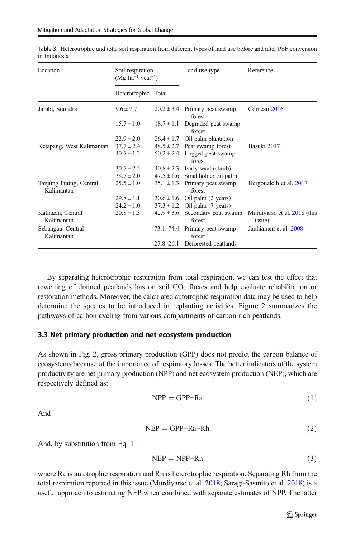| Location                              | Soil respiration<br>$(Mg \text{ ha}^{-1} \text{ year}^{-1})$ |                | Land use type                                | Reference                              |
|---------------------------------------|--------------------------------------------------------------|----------------|----------------------------------------------|----------------------------------------|
|                                       | Heterotrophic Total                                          |                |                                              |                                        |
| Jambi, Sumatra                        | $9.6 \pm 7.7$                                                |                | $20.2 \pm 3.4$ Primary peat swamp<br>forest  | Comeau 2016                            |
|                                       | $15.7 \pm 1.0$                                               |                | $18.7 \pm 1.1$ Degraded peat swamp<br>forest |                                        |
|                                       | $22.9 \pm 2.0$                                               |                | $26.4 \pm 1.7$ Oil palm plantation           |                                        |
| Ketapang, West Kalimantan             | $37.7 \pm 2.4$                                               |                | $48.5 \pm 2.7$ Peat swamp forest             | Basuki 2017                            |
|                                       | $40.7 \pm 1.2$                                               |                | $50.2 \pm 2.4$ Logged peat swamp<br>forest   |                                        |
|                                       | $30.7 \pm 2.5$                                               |                | $40.8 \pm 2.3$ Early seral (shrub)           |                                        |
|                                       | $38.7 \pm 2.0$                                               | $47.5 \pm 1.6$ | Smallholder oil palm                         |                                        |
| Tanjung Puting, Central<br>Kalimantan | $25.5 \pm 1.0$                                               |                | $35.1 \pm 1.3$ Primary peat swamp<br>forest  | Hergoualc'h et al. 2017                |
|                                       | $29.8 \pm 1.1$                                               |                | $30.6 \pm 1.6$ Oil palm (2 years)            |                                        |
|                                       | $24.2 \pm 1.0$                                               |                | $37.3 \pm 1.2$ Oil palm (7 years)            |                                        |
| Katingan, Central<br>Kalimantan       | $20.8 \pm 1.3$                                               | $42.9 \pm 3.6$ | Secondary peat swamp<br>forest               | Murdiyarso et al. 2018 (this<br>issue) |
| Sebangau, Central<br>Kalimantan       |                                                              |                | 73.1–74.4 Primary peat swamp<br>forest       | Jauhiainen et al. 2008                 |
|                                       |                                                              |                | 27.8–26.1 Deforested peatlands               |                                        |

<span id="page-6-0"></span>Table 3 Heterotrophic and total soil respiration from different types of land use before and after PSF conversion in Indonesia

By separating heterotrophic respiration from total respiration, we can test the effect that rewetting of drained peatlands has on soil  $CO<sub>2</sub>$  fluxes and help evaluate rehabilitation or restoration methods. Moreover, the calculated autotrophic respiration data may be used to help determine the species to be introduced in replanting activities. Figure [2](#page-7-0) summarizes the pathways of carbon cycling from various compartments of carbon-rich peatlands.

#### 3.3 Net primary production and net ecosystem production

As shown in Fig. [2,](#page-7-0) gross primary production (GPP) does not predict the carbon balance of ecosystems because of the importance of respiratory losses. The better indicators of the system productivity are net primary production (NPP) and net ecosystem production (NEP), which are respectively defined as:

$$
NPP = GPP-Ra \tag{1}
$$

And

$$
NEP = GPP - Ra - Rh
$$
 (2)

And, by substitution from Eq. 1

$$
NEP = NPP - Rh
$$
 (3)

where Ra is autotrophic respiration and Rh is heterotrophic respiration. Separating Rh from the total respiration reported in this issue (Murdiyarso et al. [2018;](#page-12-0) Saragi-Sasmito et al. [2018](#page-12-0)) is a useful approach to estimating NEP when combined with separate estimates of NPP. The latter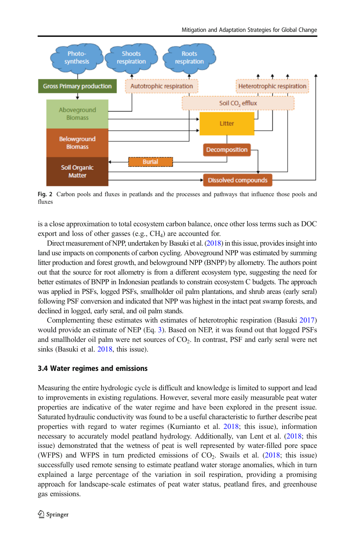<span id="page-7-0"></span>

Fig. 2 Carbon pools and fluxes in peatlands and the processes and pathways that influence those pools and fluxes

is a close approximation to total ecosystem carbon balance, once other loss terms such as DOC export and loss of other gasses (e.g.,  $CH<sub>4</sub>$ ) are accounted for.

Direct measurement of NPP, undertaken by Basuki et al. [\(2018\)](#page-11-0) in this issue, provides insight into land use impacts on components of carbon cycling. Aboveground NPP was estimated by summing litter production and forest growth, and belowground NPP (BNPP) by allometry. The authors point out that the source for root allometry is from a different ecosystem type, suggesting the need for better estimates of BNPP in Indonesian peatlands to constrain ecosystem C budgets. The approach was applied in PSFs, logged PSFs, smallholder oil palm plantations, and shrub areas (early seral) following PSF conversion and indicated that NPP was highest in the intact peat swamp forests, and declined in logged, early seral, and oil palm stands.

Complementing these estimates with estimates of heterotrophic respiration (Basuki [2017\)](#page-11-0) would provide an estimate of NEP (Eq. [3](#page-6-0)). Based on NEP, it was found out that logged PSFs and smallholder oil palm were net sources of  $CO<sub>2</sub>$ . In contrast, PSF and early seral were net sinks (Basuki et al. [2018](#page-11-0), this issue).

## 3.4 Water regimes and emissions

Measuring the entire hydrologic cycle is difficult and knowledge is limited to support and lead to improvements in existing regulations. However, several more easily measurable peat water properties are indicative of the water regime and have been explored in the present issue. Saturated hydraulic conductivity was found to be a useful characteristic to further describe peat properties with regard to water regimes (Kurnianto et al. [2018;](#page-12-0) this issue), information necessary to accurately model peatland hydrology. Additionally, van Lent et al. ([2018](#page-12-0); this issue) demonstrated that the wetness of peat is well represented by water-filled pore space (WFPS) and WFPS in turn predicted emissions of  $CO<sub>2</sub>$ . Swails et al. [\(2018;](#page-12-0) this issue) successfully used remote sensing to estimate peatland water storage anomalies, which in turn explained a large percentage of the variation in soil respiration, providing a promising approach for landscape-scale estimates of peat water status, peatland fires, and greenhouse gas emissions.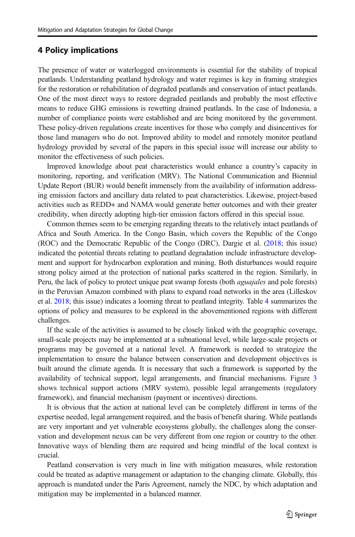## 4 Policy implications

The presence of water or waterlogged environments is essential for the stability of tropical peatlands. Understanding peatland hydrology and water regimes is key in framing strategies for the restoration or rehabilitation of degraded peatlands and conservation of intact peatlands. One of the most direct ways to restore degraded peatlands and probably the most effective means to reduce GHG emissions is rewetting drained peatlands. In the case of Indonesia, a number of compliance points were established and are being monitored by the government. These policy-driven regulations create incentives for those who comply and disincentives for those land managers who do not. Improved ability to model and remotely monitor peatland hydrology provided by several of the papers in this special issue will increase our ability to monitor the effectiveness of such policies.

Improved knowledge about peat characteristics would enhance a country's capacity in monitoring, reporting, and verification (MRV). The National Communication and Biennial Update Report (BUR) would benefit immensely from the availability of information addressing emission factors and ancillary data related to peat characteristics. Likewise, project-based activities such as REDD+ and NAMA would generate better outcomes and with their greater credibility, when directly adopting high-tier emission factors offered in this special issue.

Common themes seem to be emerging regarding threats to the relatively intact peatlands of Africa and South America. In the Congo Basin, which covers the Republic of the Congo (ROC) and the Democratic Republic of the Congo (DRC), Dargie et al. ([2018](#page-11-0); this issue) indicated the potential threats relating to peatland degradation include infrastructure development and support for hydrocarbon exploration and mining. Both disturbances would require strong policy aimed at the protection of national parks scattered in the region. Similarly, in Peru, the lack of policy to protect unique peat swamp forests (both aguajales and pole forests) in the Peruvian Amazon combined with plans to expand road networks in the area (Lilleskov et al. [2018;](#page-12-0) this issue) indicates a looming threat to peatland integrity. Table [4](#page-9-0) summarizes the options of policy and measures to be explored in the abovementioned regions with different challenges.

If the scale of the activities is assumed to be closely linked with the geographic coverage, small-scale projects may be implemented at a subnational level, while large-scale projects or programs may be governed at a national level. A framework is needed to strategize the implementation to ensure the balance between conservation and development objectives is built around the climate agenda. It is necessary that such a framework is supported by the availability of technical support, legal arrangements, and financial mechanisms. Figure [3](#page-10-0) shows technical support actions (MRV system), possible legal arrangements (regulatory framework), and financial mechanism (payment or incentives) directions.

It is obvious that the action at national level can be completely different in terms of the expertise needed, legal arrangement required, and the basis of benefit sharing. While peatlands are very important and yet vulnerable ecosystems globally, the challenges along the conservation and development nexus can be very different from one region or country to the other. Innovative ways of blending them are required and being mindful of the local context is crucial.

Peatland conservation is very much in line with mitigation measures, while restoration could be treated as adaptive management or adaptation to the changing climate. Globally, this approach is mandated under the Paris Agreement, namely the NDC, by which adaptation and mitigation may be implemented in a balanced manner.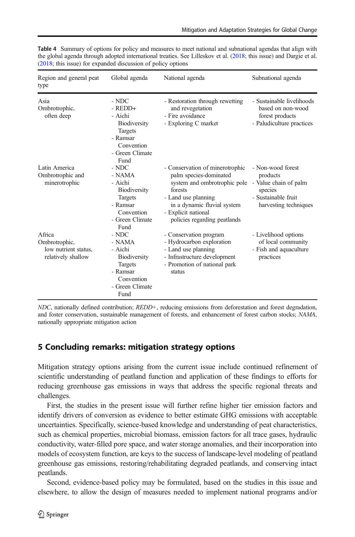| Region and general peat<br>type                                       | Global agenda                                                                                                             | National agenda                                                                                                                                                                                                   | Subnational agenda                                                                                                |
|-----------------------------------------------------------------------|---------------------------------------------------------------------------------------------------------------------------|-------------------------------------------------------------------------------------------------------------------------------------------------------------------------------------------------------------------|-------------------------------------------------------------------------------------------------------------------|
| Asia<br>Ombrotrophic,<br>often deep                                   | $-$ NDC<br>$-$ REDD $+$<br>- Aichi<br><b>Biodiversity</b><br>Targets<br>- Ramsar<br>Convention<br>- Green Climate<br>Fund | - Restoration through rewetting<br>and revegetation<br>- Fire avoidance<br>- Exploring C market                                                                                                                   | - Sustainable livelihoods<br>based on non-wood<br>forest products<br>- Paludiculture practices                    |
| Latin America<br>Ombrotrophic and<br>minerotrophic                    | - NDC<br>- NAMA<br>- Aichi<br>Biodiversity<br>Targets<br>- Ramsar<br>Convention<br>- Green Climate<br>Fund                | - Conservation of minerotrophic<br>palm species-dominated<br>system and ombrotrophic pole<br>forests<br>- Land use planning<br>in a dynamic fluvial system<br>- Explicit national<br>policies regarding peatlands | - Non-wood forest<br>products<br>- Value chain of palm<br>species<br>- Sustainable fruit<br>harvesting techniques |
| Africa<br>Ombrotrophic,<br>low nutrient status.<br>relatively shallow | - NDC<br>- NAMA<br>- Aichi<br><b>Biodiversity</b><br>Targets<br>- Ramsar<br>Convention<br>- Green Climate<br>Fund         | - Conservation program<br>- Hydrocarbon exploration<br>- Land use planning<br>- Infrastructure development<br>- Promotion of national park<br>status                                                              | - Livelihood options<br>of local community<br>- Fish and aquaculture<br>practices                                 |

<span id="page-9-0"></span>Table 4 Summary of options for policy and measures to meet national and subnational agendas that align with the global agenda through adopted international treaties. See Lilleskov et al. ([2018](#page-12-0); this issue) and Dargie et al. [\(2018;](#page-11-0) this issue) for expanded discussion of policy options

NDC, nationally defined contribution; REDD+, reducing emissions from deforestation and forest degradation, and foster conservation, sustainable management of forests, and enhancement of forest carbon stocks; NAMA, nationally appropriate mitigation action

## 5 Concluding remarks: mitigation strategy options

Mitigation strategy options arising from the current issue include continued refinement of scientific understanding of peatland function and application of these findings to efforts for reducing greenhouse gas emissions in ways that address the specific regional threats and challenges.

First, the studies in the present issue will further refine higher tier emission factors and identify drivers of conversion as evidence to better estimate GHG emissions with acceptable uncertainties. Specifically, science-based knowledge and understanding of peat characteristics, such as chemical properties, microbial biomass, emission factors for all trace gases, hydraulic conductivity, water-filled pore space, and water storage anomalies, and their incorporation into models of ecosystem function, are keys to the success of landscape-level modeling of peatland greenhouse gas emissions, restoring/rehabilitating degraded peatlands, and conserving intact peatlands.

Second, evidence-based policy may be formulated, based on the studies in this issue and elsewhere, to allow the design of measures needed to implement national programs and/or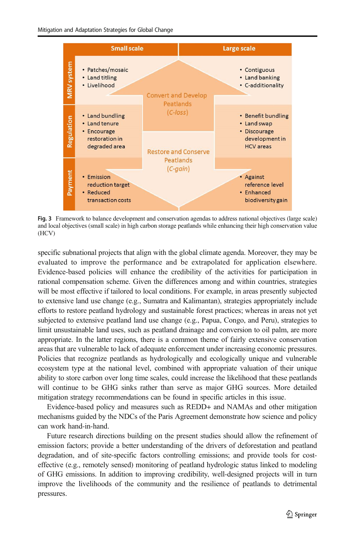<span id="page-10-0"></span>

Fig. 3 Framework to balance development and conservation agendas to address national objectives (large scale) and local objectives (small scale) in high carbon storage peatlands while enhancing their high conservation value (HCV)

specific subnational projects that align with the global climate agenda. Moreover, they may be evaluated to improve the performance and be extrapolated for application elsewhere. Evidence-based policies will enhance the credibility of the activities for participation in rational compensation scheme. Given the differences among and within countries, strategies will be most effective if tailored to local conditions. For example, in areas presently subjected to extensive land use change (e.g., Sumatra and Kalimantan), strategies appropriately include efforts to restore peatland hydrology and sustainable forest practices; whereas in areas not yet subjected to extensive peatland land use change (e.g., Papua, Congo, and Peru), strategies to limit unsustainable land uses, such as peatland drainage and conversion to oil palm, are more appropriate. In the latter regions, there is a common theme of fairly extensive conservation areas that are vulnerable to lack of adequate enforcement under increasing economic pressures. Policies that recognize peatlands as hydrologically and ecologically unique and vulnerable ecosystem type at the national level, combined with appropriate valuation of their unique ability to store carbon over long time scales, could increase the likelihood that these peatlands will continue to be GHG sinks rather than serve as major GHG sources. More detailed mitigation strategy recommendations can be found in specific articles in this issue.

Evidence-based policy and measures such as REDD+ and NAMAs and other mitigation mechanisms guided by the NDCs of the Paris Agreement demonstrate how science and policy can work hand-in-hand.

Future research directions building on the present studies should allow the refinement of emission factors; provide a better understanding of the drivers of deforestation and peatland degradation, and of site-specific factors controlling emissions; and provide tools for costeffective (e.g., remotely sensed) monitoring of peatland hydrologic status linked to modeling of GHG emissions. In addition to improving credibility, well-designed projects will in turn improve the livelihoods of the community and the resilience of peatlands to detrimental pressures.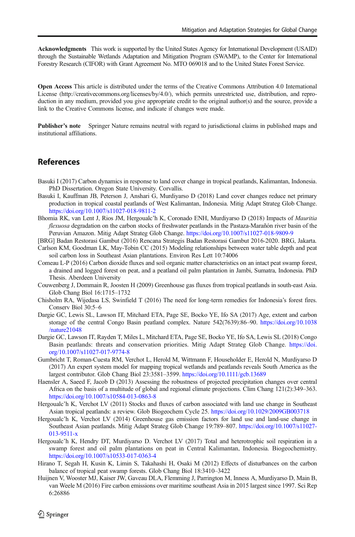<span id="page-11-0"></span>Acknowledgments This work is supported by the United States Agency for International Development (USAID) through the Sustainable Wetlands Adaptation and Mitigation Program (SWAMP), to the Center for International Forestry Research (CIFOR) with Grant Agreement No. MTO 069018 and to the United States Forest Service.

Open Access This article is distributed under the terms of the Creative Commons Attribution 4.0 International License (http://creativecommons.org/licenses/by/4.0/), which permits unrestricted use, distribution, and reproduction in any medium, provided you give appropriate credit to the original author(s) and the source, provide a link to the Creative Commons license, and indicate if changes were made.

Publisher's note Springer Nature remains neutral with regard to jurisdictional claims in published maps and institutional affiliations.

## **References**

- Basuki I (2017) Carbon dynamics in response to land cover change in tropical peatlands, Kalimantan, Indonesia. PhD Dissertation. Oregon State University. Corvallis.
- Basuki I, Kauffman JB, Peterson J, Anshari G, Murdiyarso D (2018) Land cover changes reduce net primary production in tropical coastal peatlands of West Kalimantan, Indonesia. Mitig Adapt Strateg Glob Change. <https://doi.org/10.1007/s11027-018-9811-2>
- Bhomia RK, van Lent J, Rios JM, Hergoualc'h K, Coronado ENH, Murdiyarso D (2018) Impacts of Mauritia flexuosa degradation on the carbon stocks of freshwater peatlands in the Pastaza-Marañón river basin of the Peruvian Amazon. Mitig Adapt Strateg Glob Change. <https://doi.org/10.1007/s11027-018-9809-9>
- [BRG] Badan Restorasi Gambut (2016) Rencana Strategis Badan Restorasi Gambut 2016-2020. BRG, Jakarta.
- Carlson KM, Goodman LK, May-Tobin CC (2015) Modeling relationships between water table depth and peat soil carbon loss in Southeast Asian plantations. Environ Res Lett 10:74006
- Comeau L-P (2016) Carbon dioxide fluxes and soil organic matter characteristics on an intact peat swamp forest, a drained and logged forest on peat, and a peatland oil palm plantation in Jambi, Sumatra, Indonesia. PhD Thesis. Aberdeen University
- Couwenberg J, Dommain R, Joosten H (2009) Greenhouse gas fluxes from tropical peatlands in south-east Asia. Glob Chang Biol 16:1715–1732
- Chisholm RA, Wijedasa LS, Swinfield T (2016) The need for long-term remedies for Indonesia's forest fires. Conserv Biol 30:5–6
- Dargie GC, Lewis SL, Lawson IT, Mitchard ETA, Page SE, Bocko YE, Ifo SA (2017) Age, extent and carbon storage of the central Congo Basin peatland complex. Nature 542(7639):86–90. [https://doi.org/10.1038](https://doi.org/10.1038/nature21048) [/nature21048](https://doi.org/10.1038/nature21048)
- Dargie GC, Lawson IT, Rayden T, Miles L, Mitchard ETA, Page SE, Bocko YE, Ifo SA, Lewis SL (2018) Congo Basin peatlands: threats and conservation priorities. Mitig Adapt Strateg Glob Change. [https://doi.](https://doi.org/10.1007/s11027-017-9774-8) [org/10.1007/s11027-017-9774-8](https://doi.org/10.1007/s11027-017-9774-8)
- Gumbricht T, Roman-Cuesta RM, Verchot L, Herold M, Wittmann F, Householder E, Herold N, Murdiyarso D (2017) An expert system model for mapping tropical wetlands and peatlands reveals South America as the largest contributor. Glob Chang Biol 23:3581–3599. <https://doi.org/10.1111/gcb.13689>
- Haensler A, Saeed F, Jacob D (2013) Assessing the robustness of projected precipitation changes over central Africa on the basis of a multitude of global and regional climate projections. Clim Chang 121(2):349–363. <https://doi.org/10.1007/s10584-013-0863-8>
- Hergoualc'h K, Verchot LV (2011) Stocks and fluxes of carbon associated with land use change in Southeast Asian tropical peatlands: a review. Glob Biogeochem Cycle 25. <https://doi.org/10.1029/2009GB003718>
- Hergoualc'h K, Verchot LV (2014) Greenhouse gas emission factors for land use and land-use change in Southeast Asian peatlands. Mitig Adapt Strateg Glob Change 19:789–807. [https://doi.org/10.1007/s11027-](https://doi.org/10.1007/s11027-013-9511-x) [013-9511-x](https://doi.org/10.1007/s11027-013-9511-x)
- Hergoualc'h K, Hendry DT, Murdiyarso D. Verchot LV (2017) Total and heterotrophic soil respiration in a swamp forest and oil palm plantations on peat in Central Kalimantan, Indonesia. Biogeochemistry. <https://doi.org/10.1007/s10533-017-0363-4>
- Hirano T, Segah H, Kusin K, Limin S, Takahashi H, Osaki M (2012) Effects of disturbances on the carbon balance of tropical peat swamp forests. Glob Chang Biol 18:3410–3422
- Huijnen V, Wooster MJ, Kaiser JW, Gaveau DLA, Flemming J, Parrington M, Inness A, Murdiyarso D, Main B, van Weele M (2016) Fire carbon emissions over maritime southeast Asia in 2015 largest since 1997. Sci Rep 6:26886